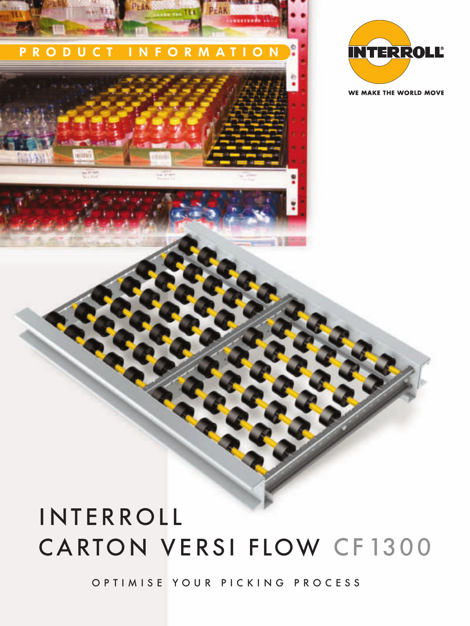# CARTON VERSI FLOW CF1300 INTERROLL

OPTIMISE YOUR PICKING PROCESS



PEAK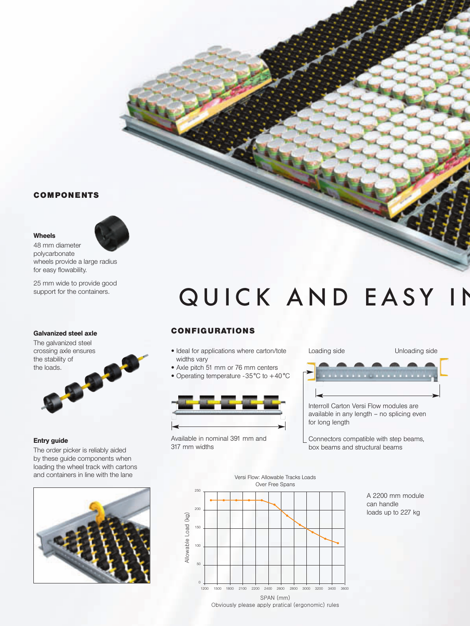# **COMPONENTS**

# Wheels



48 mm diameter polycarbonate wheels provide a large radius for easy flowability.

25 mm wide to provide good support for the containers.

# Galvanized steel axle

The galvanized steel crossing axle ensures the stability of<br>the loads. the loads.

# Entry guide

The order picker is reliably aided by these guide components when loading the wheel track with cartons and containers in line with the lane



# QUICK AND EASY IN

# **CON F IG U RAT IONS**

- Ideal for applications where carton/tote widths vary
- Axle pitch 51 mm or 76 mm centers
- Operating temperature -35°C to +40 °C



Available in nominal 391 mm and 317 mm widths



Interroll Carton Versi Flow modules are available in any length – no splicing even for long length

Connectors compatible with step beams, box beams and structural beams

Versi Flow: Allowable Tracks Loads Over Free Spans 250 200 Allowable Load (kg) Allowable Load (kg) 150 100 50  $\mathbf{C}$ 1200 1500 1800 2100 2200 2400 2600 2800 3000 3200 3400 3600 SPAN (mm) Obviously please apply pratical (ergonomic) rules

A 2200 mm module can handle loads up to 227 kg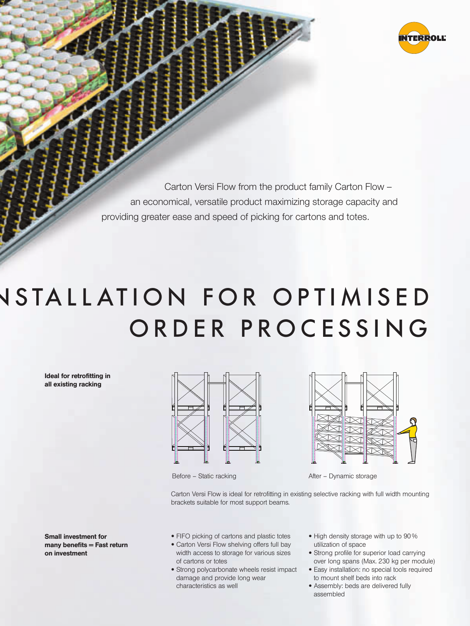

Carton Versi Flow from the product family Carton Flow – an economical, versatile product maximizing storage capacity and providing greater ease and speed of picking for cartons and totes.

# **NSTALLATION FOR OPTIMISED** ORDER PROCESSING

Ideal for retrofitting in all existing racking

Small investment for  $many$  benefits  $=$  Fast return on investment





Before – Static racking and a static racking After – Dynamic storage

Carton Versi Flow is ideal for retrofitting in existing selective racking with full width mounting brackets suitable for most support beams.

- FIFO picking of cartons and plastic totes
- **•** Carton Versi Flow shelving offers full bay width access to storage for various sizes of cartons or totes
- Strong polycarbonate wheels resist impact damage and provide long wear characteristics as well
- High density storage with up to 90 % utilization of space
- Strong profile for superior load carrying over long spans (Max. 230 kg per module)
- Easy installation: no special tools required to mount shelf beds into rack
- Assembly: beds are delivered fully assembled